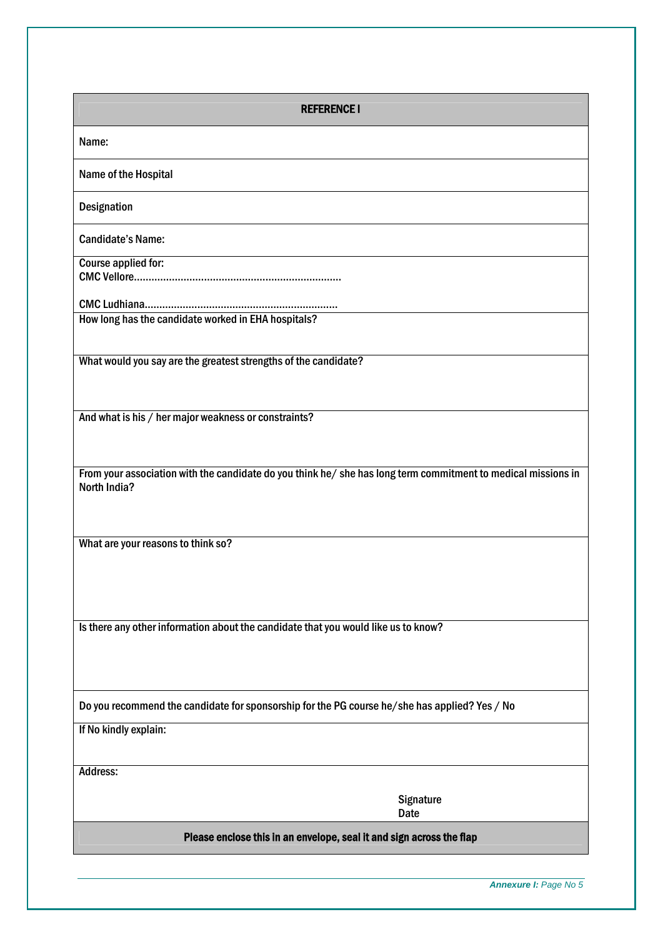| <b>REFERENCE I</b>                                                                                                                   |
|--------------------------------------------------------------------------------------------------------------------------------------|
| Name:                                                                                                                                |
| Name of the Hospital                                                                                                                 |
| <b>Designation</b>                                                                                                                   |
| <b>Candidate's Name:</b>                                                                                                             |
| Course applied for:                                                                                                                  |
| How long has the candidate worked in EHA hospitals?                                                                                  |
|                                                                                                                                      |
| What would you say are the greatest strengths of the candidate?                                                                      |
| And what is his / her major weakness or constraints?                                                                                 |
|                                                                                                                                      |
| From your association with the candidate do you think he/ she has long term commitment to medical missions in<br><b>North India?</b> |
| What are your reasons to think so?                                                                                                   |
|                                                                                                                                      |
| Is there any other information about the candidate that you would like us to know?                                                   |
|                                                                                                                                      |
| Do you recommend the candidate for sponsorship for the PG course he/she has applied? Yes / No                                        |
| If No kindly explain:                                                                                                                |
| Address:                                                                                                                             |
| Signature<br><b>Date</b>                                                                                                             |
| Please enclose this in an envelope, seal it and sign across the flap                                                                 |